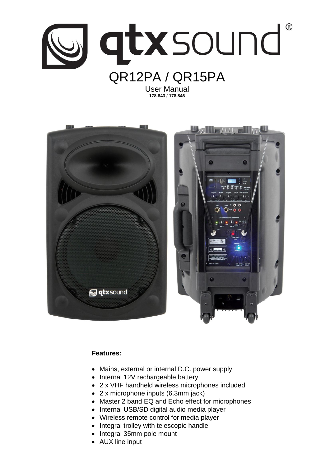

User Manual **178.843 / 178.846**



# **Features:**

- Mains, external or internal D.C. power supply
- Internal 12V rechargeable battery
- 2 x VHF handheld wireless microphones included
- 2 x microphone inputs (6.3mm jack)
- Master 2 band EQ and Echo effect for microphones
- Internal USB/SD digital audio media player
- Wireless remote control for media player
- Integral trolley with telescopic handle
- Integral 35mm pole mount
- AUX line input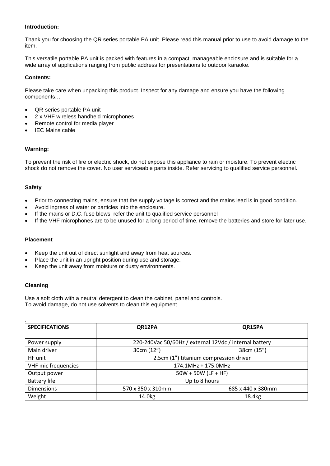### **Introduction:**

Thank you for choosing the QR series portable PA unit. Please read this manual prior to use to avoid damage to the item.

This versatile portable PA unit is packed with features in a compact, manageable enclosure and is suitable for a wide array of applications ranging from public address for presentations to outdoor karaoke.

#### **Contents:**

Please take care when unpacking this product. Inspect for any damage and ensure you have the following components…

- QR-series portable PA unit
- 2 x VHF wireless handheld microphones
- Remote control for media player
- IEC Mains cable

### **Warning:**

To prevent the risk of fire or electric shock, do not expose this appliance to rain or moisture. To prevent electric shock do not remove the cover. No user serviceable parts inside. Refer servicing to qualified service personnel.

#### **Safety**

- Prior to connecting mains, ensure that the supply voltage is correct and the mains lead is in good condition.
- Avoid ingress of water or particles into the enclosure.
- If the mains or D.C. fuse blows, refer the unit to qualified service personnel
- If the VHF microphones are to be unused for a long period of time, remove the batteries and store for later use.

### **Placement**

- Keep the unit out of direct sunlight and away from heat sources.
- Place the unit in an upright position during use and storage.
- Keep the unit away from moisture or dusty environments.

#### **Cleaning**

Use a soft cloth with a neutral detergent to clean the cabinet, panel and controls. To avoid damage, do not use solvents to clean this equipment.

| <b>SPECIFICATIONS</b> | QR12PA                                                 | QR15PA            |
|-----------------------|--------------------------------------------------------|-------------------|
|                       |                                                        |                   |
| Power supply          | 220-240Vac 50/60Hz / external 12Vdc / internal battery |                   |
| Main driver           | 30cm (12")                                             | 38cm (15")        |
| HF unit               | 2.5cm (1") titanium compression driver                 |                   |
| VHF mic frequencies   | 174.1MHz + 175.0MHz                                    |                   |
| Output power          | $50W + 50W$ (LF + HF)                                  |                   |
| <b>Battery life</b>   | Up to 8 hours                                          |                   |
| <b>Dimensions</b>     | 570 x 350 x 310mm                                      | 685 x 440 x 380mm |
| Weight                | 14.0 <sub>kg</sub>                                     | 18.4kg            |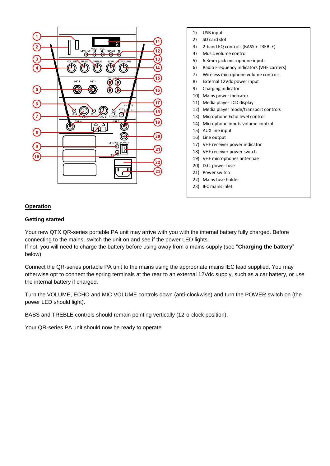

- 1) USB input
- 2) SD card slot
- 3) 2-band EQ controls (BASS + TREBLE)
- 4) Music volume control
- 5) 6.3mm jack microphone inputs
- 6) Radio Frequency indicators (VHF carriers)
- 7) Wireless microphone volume controls
- 8) External 12Vdc power input
- 9) Charging indicator
- 10) Mains power indicator
- 11) Media player LCD display
- 12) Media player mode/transport controls
- 13) Microphone Echo level control
- 14) Microphone inputs volume control
- 15) AUX line input
- 16) Line output
- 17) VHF receiver power indicator
- 18) VHF receiver power switch
- 19) VHF microphones antennae
- 20) D.C. power fuse
- 21) Power switch
- 22) Mains fuse holder
- 23) IEC mains inlet

#### **Operation**

#### **Getting started**

Your new QTX QR-series portable PA unit may arrive with you with the internal battery fully charged. Before connecting to the mains, switch the unit on and see if the power LED lights.

If not, you will need to charge the battery before using away from a mains supply (see "**Charging the battery**" below)

Connect the QR-series portable PA unit to the mains using the appropriate mains IEC lead supplied. You may otherwise opt to connect the spring terminals at the rear to an external 12Vdc supply, such as a car battery, or use the internal battery if charged.

Turn the VOLUME, ECHO and MIC VOLUME controls down (anti-clockwise) and turn the POWER switch on (the power LED should light).

BASS and TREBLE controls should remain pointing vertically (12-o-clock position).

Your QR-series PA unit should now be ready to operate.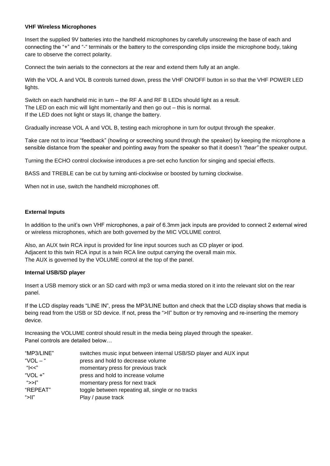### **VHF Wireless Microphones**

Insert the supplied 9V batteries into the handheld microphones by carefully unscrewing the base of each and connecting the "+" and "-" terminals or the battery to the corresponding clips inside the microphone body, taking care to observe the correct polarity.

Connect the twin aerials to the connectors at the rear and extend them fully at an angle.

With the VOL A and VOL B controls turned down, press the VHF ON/OFF button in so that the VHF POWER LED lights.

Switch on each handheld mic in turn – the RF A and RF B LEDs should light as a result. The LED on each mic will light momentarily and then go out – this is normal. If the LED does not light or stays lit, change the battery.

Gradually increase VOL A and VOL B, testing each microphone in turn for output through the speaker.

Take care not to incur "feedback" (howling or screeching sound through the speaker) by keeping the microphone a sensible distance from the speaker and pointing away from the speaker so that it doesn't *"hear"* the speaker output.

Turning the ECHO control clockwise introduces a pre-set echo function for singing and special effects.

BASS and TREBLE can be cut by turning anti-clockwise or boosted by turning clockwise.

When not in use, switch the handheld microphones off.

# **External Inputs**

In addition to the unit's own VHF microphones, a pair of 6.3mm jack inputs are provided to connect 2 external wired or wireless microphones, which are both governed by the MIC VOLUME control.

Also, an AUX twin RCA input is provided for line input sources such as CD player or ipod. Adjacent to this twin RCA input is a twin RCA line output carrying the overall main mix. The AUX is governed by the VOLUME control at the top of the panel.

### **Internal USB/SD player**

Insert a USB memory stick or an SD card with mp3 or wma media stored on it into the relevant slot on the rear panel.

If the LCD display reads "LINE IN", press the MP3/LINE button and check that the LCD display shows that media is being read from the USB or SD device. If not, press the ">II" button or try removing and re-inserting the memory device.

Increasing the VOLUME control should result in the media being played through the speaker. Panel controls are detailed below…

| "MP3/LINE" | switches music input between internal USB/SD player and AUX input |
|------------|-------------------------------------------------------------------|
| "VOL $-$ " | press and hold to decrease volume                                 |
| "l<<"      | momentary press for previous track                                |
| "VOL $+$ " | press and hold to increase volume                                 |
| ">>I"      | momentary press for next track                                    |
| "REPEAT"   | toggle between repeating all, single or no tracks                 |
| ">II"      | Play / pause track                                                |